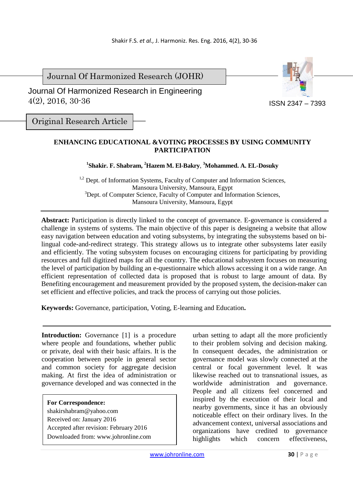Journal Of Harmonized Research (JOHR)

 Journal Of Harmonized Research in Engineering 4(2), 2016, 30-36



Original Research Article

# **ENHANCING EDUCATIONAL &VOTING PROCESSES BY USING COMMUNITY PARTICIPATION**

### **1 Shakir. F. Shabram, <sup>2</sup>Hazem M. El-Bakry**, **<sup>3</sup>Mohammed. A. EL-Dosuky**

<sup>1,2</sup> Dept. of Information Systems, Faculty of Computer and Information Sciences, Mansoura University, Mansoura, Egypt <sup>3</sup>Dept. of Computer Science, Faculty of Computer and Information Sciences, Mansoura University, Mansoura, Egypt

**Abstract:** Participation is directly linked to the concept of governance. E-governance is considered a challenge in systems of systems. The main objective of this paper is designeing a website that allow easy navigation between education and voting subsystems, by integrating the subsystems based on bilingual code-and-redirect strategy. This strategy allows us to integrate other subsystems later easily and efficiently. The voting subsystem focuses on encouraging citizens for participating by providing resources and full digitized maps for all the country. The educational subsystem focuses on measuring the level of participation by building an e-questionnaire which allows accessing it on a wide range. An efficient representation of collected data is proposed that is robust to large amount of data. By Benefiting encouragement and measurement provided by the proposed system, the decision-maker can set efficient and effective policies, and track the process of carrying out those policies.

**Keywords:** Governance, participation, Voting, E-learning and Education**.** 

**Introduction:** Governance [1] is a procedure where people and foundations, whether public or private, deal with their basic affairs. It is the cooperation between people in general sector and common society for aggregate decision making. At first the idea of administration or governance developed and was connected in the

**For Correspondence:**  shakirshabram@yahoo.com Received on: January 2016 Accepted after revision: February 2016 Downloaded from: www.johronline.com urban setting to adapt all the more proficiently to their problem solving and decision making. In consequent decades, the administration or governance model was slowly connected at the central or focal government level. It was likewise reached out to transnational issues, as worldwide administration and governance. People and all citizens feel concerned and inspired by the execution of their local and nearby governments, since it has an obviously noticeable effect on their ordinary lives. In the advancement context, universal associations and organizations have credited to governance highlights which concern effectiveness,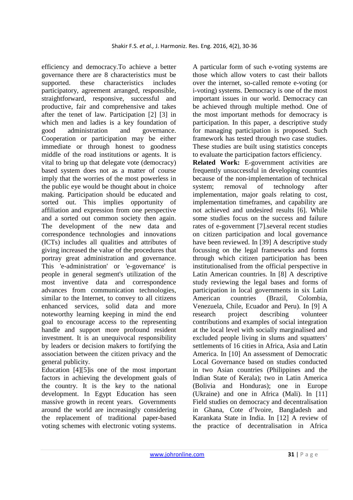efficiency and democracy.To achieve a better governance there are 8 characteristics must be supported. these characteristics includes participatory, agreement arranged, responsible, straightforward, responsive, successful and productive, fair and comprehensive and takes after the tenet of law. Participation [2] [3] in which men and ladies is a key foundation of good administration and governance. Cooperation or participation may be either immediate or through honest to goodness middle of the road institutions or agents. It is vital to bring up that delegate vote (democracy) based system does not as a matter of course imply that the worries of the most powerless in the public eye would be thought about in choice making. Participation should be educated and sorted out. This implies opportunity of affiliation and expression from one perspective and a sorted out common society then again. The development of the new data and correspondence technologies and innovations (ICTs) includes all qualities and attributes of giving increased the value of the procedures that portray great administration and governance. This 'e-administration' or 'e-governance' is people in general segment's utilization of the most inventive data and correspondence advances from communication technologies, similar to the Internet, to convey to all citizens enhanced services, solid data and more noteworthy learning keeping in mind the end goal to encourage access to the representing handle and support more profound resident investment. It is an unequivocal responsibility by leaders or decision makers to fortifying the association between the citizen privacy and the general publicity.

Education [4][5]is one of the most important factors in achieving the development goals of the country. It is the key to the national development. In Egypt Education has seen massive growth in recent years. Governments around the world are increasingly considering the replacement of traditional paper-based voting schemes with electronic voting systems.

A particular form of such e-voting systems are those which allow voters to cast their ballots over the internet, so-called remote e-voting (or i-voting) systems. Democracy is one of the most important issues in our world. Democracy can be achieved through multiple method. One of the most important methods for democracy is participation. In this paper, a descriptive study for managing participation is proposed. Such framework has tested through two case studies. These studies are built using statistics concepts to evaluate the participation factors efficiency.

**Related Work:** E-government activities are frequently unsuccessful in developing countries because of the non-implementation of technical system; removal of technology after implementation, major goals relating to cost, implementation timeframes, and capability are not achieved and undesired results [6]. While some studies focus on the success and failure rates of e-government [7].several recent studies on citizen participation and local governance have been reviewed. In [39] A descriptive study focussing on the legal frameworks and forms through which citizen participation has been institutionalised from the official perspective in Latin American countries. In [8] A descriptive study reviewing the legal bases and forms of participation in local governments in six Latin American countries (Brazil, Colombia, Venezuela, Chile, Ecuador and Peru). In [9] A research project describing volunteer contributions and examples of social integration at the local level with socially marginalised and excluded people living in slums and squatters' settlements of 16 cities in Africa, Asia and Latin America. In [10] An assessment of Democratic Local Governance based on studies conducted in two Asian countries (Philippines and the Indian State of Kerala); two in Latin America (Bolivia and Honduras); one in Europe (Ukraine) and one in Africa (Mali). In [11] Field studies on democracy and decentralisation in Ghana, Cote d'Ivoire, Bangladesh and Karankata State in India. In [12] A review of the practice of decentralisation in Africa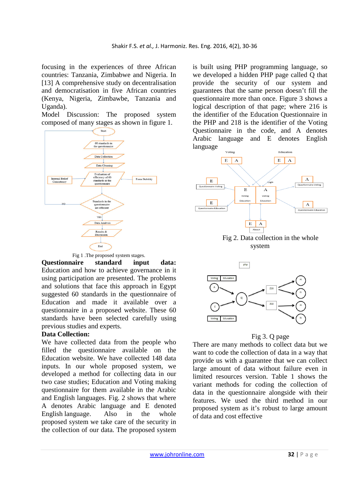focusing in the experiences of three African countries: Tanzania, Zimbabwe and Nigeria. In [13] A comprehensive study on decentralisation and democratisation in five African countries (Kenya, Nigeria, Zimbawbe, Tanzania and Uganda).

Model Discussion: The proposed system composed of many stages as shown in figure 1.



Fig 1 .The proposed system stages.

**Questionnaire standard input data:**  Education and how to achieve governance in it using participation are presented. The problems and solutions that face this approach in Egypt suggested 60 standards in the questionnaire of Education and made it available over a questionnaire in a proposed website. These 60 standards have been selected carefully using previous studies and experts.

## **Data Collection:**

We have collected data from the people who filled the questionnaire available on the Education website. We have collected 148 data inputs. In our whole proposed system, we developed a method for collecting data in our two case studies; Education and Voting making questionnaire for them available in the Arabic and English languages. Fig. 2 shows that where A denotes Arabic language and E denoted English language. Also in the whole proposed system we take care of the security in the collection of our data. The proposed system

is built using PHP programming language, so we developed a hidden PHP page called Q that provide the security of our system and guarantees that the same person doesn't fill the questionnaire more than once. Figure 3 shows a logical description of that page; where 216 is the identifier of the Education Questionnaire in the PHP and 218 is the identifier of the Voting Questionnaire in the code, and A denotes Arabic language and E denotes English language



system



#### Fig 3. Q page

There are many methods to collect data but we want to code the collection of data in a way that provide us with a guarantee that we can collect large amount of data without failure even in limited resources version. Table 1 shows the variant methods for coding the collection of data in the questionnaire alongside with their features. We used the third method in our proposed system as it's robust to large amount of data and cost effective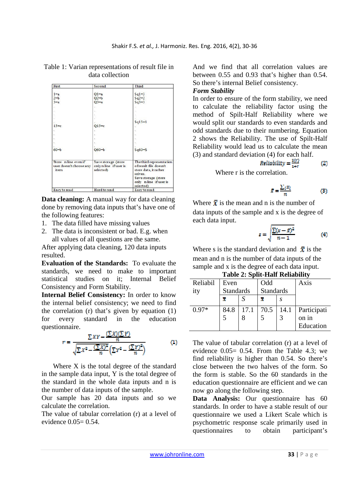| First                                                   | Second                                                     | Third<br>$Sq1=3$<br>$sq2=2$<br>$Sq3=3$                                      |  |  |  |
|---------------------------------------------------------|------------------------------------------------------------|-----------------------------------------------------------------------------|--|--|--|
| $1 = a$<br>$2 = b$<br>$3 = a$                           | $Q1 = a$<br>$Q2 = b$<br>$O3=a$                             |                                                                             |  |  |  |
| 6                                                       |                                                            |                                                                             |  |  |  |
|                                                         |                                                            |                                                                             |  |  |  |
|                                                         |                                                            |                                                                             |  |  |  |
| $15=c$                                                  | $Q15=c$                                                    | $Sq15=1$                                                                    |  |  |  |
|                                                         |                                                            |                                                                             |  |  |  |
|                                                         |                                                            |                                                                             |  |  |  |
|                                                         |                                                            |                                                                             |  |  |  |
|                                                         |                                                            |                                                                             |  |  |  |
| $60 = b$                                                | $Q60 = b$                                                  | $s_q60 = s$                                                                 |  |  |  |
| Store n line even if<br>user doesn't choose any<br>item | Save storage (store<br>only n line if user is<br>selected) | The third representation<br>of result file doesn't<br>store data, it rather |  |  |  |
|                                                         |                                                            | solves.<br>Save storage (store<br>only n line if user is<br>selected)       |  |  |  |
| Easy to read                                            | Hard to read                                               | Easy to read                                                                |  |  |  |

Table 1: Varian representations of result file in data collection

**Data cleaning:** A manual way for data cleaning done by removing data inputs that's have one of the following features:

- 1. The data filled have missing values
- 2. The data is inconsistent or bad. E.g. when all values of all questions are the same.

After applying data cleaning, 120 data inputs resulted.

**Evaluation of the Standards:** To evaluate the standards, we need to make to important statistical studies on it; Internal Belief Consistency and Form Stability.

**Internal Belief Consistency:** In order to know the internal belief consistency; we need to find the correlation (r) that's given by equation (1) for every standard in the education questionnaire.

$$
r = \frac{\sum XY - \frac{(\sum X)(\sum Y)}{n}}{\sqrt{\sum X^2 - \frac{(\sum X)^2}{n} (\sum Y^2 - \frac{(\sum Y)^2}{n})}}
$$
(1)

Where X is the total degree of the standard in the sample data input, Y is the total degree of the standard in the whole data inputs and n is the number of data inputs of the sample.

Our sample has 20 data inputs and so we calculate the correlation.

The value of tabular correlation (r) at a level of evidence  $0.05=0.54$ .

And we find that all correlation values are between 0.55 and 0.93 that's higher than 0.54. So there's internal Belief consistency.

#### *Form Stability*

In order to ensure of the form stability, we need to calculate the reliability factor using the method of Spilt-Half Reliability where we would split our standards to even standards and odd standards due to their numbering. Equation 2 shows the Reliability. The use of Spilt-Half Reliability would lead us to calculate the mean (3) and standard deviation (4) for each half.

$$
Reliability = \frac{2(r)}{1+r}
$$
 (2)

Where r is the correlation.

$$
\bar{x} = \frac{\sum_{i} x_i}{n} \tag{3}
$$

Where  $\bar{x}$  is the mean and n is the number of data inputs of the sample and x is the degree of each data input.

$$
s = \sqrt{\frac{\sum (x - \bar{x})^2}{n - 1}} \tag{4}
$$

Where s is the standard deviation and  $\bar{x}$  is the mean and n is the number of data inputs of the sample and x is the degree of each data input.

#### **Table 2: Split-Half Reliability**

| Reliabil | Even             |      | Odd              |      | Axis            |  |
|----------|------------------|------|------------------|------|-----------------|--|
| ity      | <b>Standards</b> |      | <b>Standards</b> |      |                 |  |
|          | x                |      | x                |      |                 |  |
| $0.97*$  | 84.8             | 17.1 | 70.5             | 14.1 | Participati     |  |
|          |                  |      |                  |      | on <sub>1</sub> |  |
|          |                  |      |                  |      | Education       |  |

The value of tabular correlation (r) at a level of evidence 0.05= 0.54. From the Table 4.3; we find reliability is higher than 0.54. So there's close between the two halves of the form. So the form is stable. So the 60 standards in the education questionnaire are efficient and we can now go along the following step.

**Data Analysis:** Our questionnaire has 60 standards. In order to have a stable result of our questionnaire we used a Likert Scale which is psychometric response scale primarily used in questionnaires to obtain participant's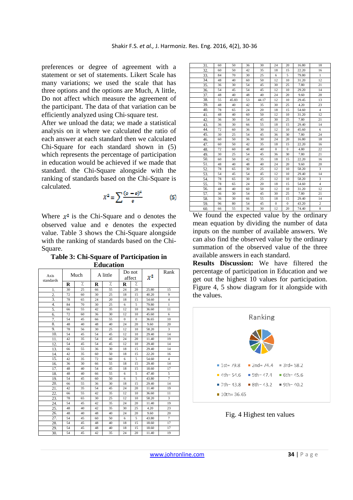preferences or degree of agreement with a statement or set of statements. Likert Scale has many variations; we used the scale that has three options and the options are Much, A little, Do not affect which measure the agreement of the participant. The data of that variation can be efficiently analyzed using Chi‐square test.

After we unload the data; we made a statistical analysis on it where we calculated the ratio of each answer at each standard then we calculated Chi-Square for each standard shown in (5) which represents the percentage of participation in education would be achieved if we made that standard. the Chi-Square alongside with the ranking of standards based on the Chi-Square is calculated.

$$
X^2 = \sum \frac{(o - e)^2}{e} \tag{5}
$$

Where  $x^2$  is the Chi-Square and o denotes the observed value and e denotes the expected value. Table 3 shows the Chi-Square alongside with the ranking of standards based on the Chi-Square.

**Table 3: Chi-Square of Participation in Education**

| Axis             | Much |    | A little |    | Do not<br>affect |              | $\chi^2$ | Rank           |
|------------------|------|----|----------|----|------------------|--------------|----------|----------------|
| standards        | R    | γ. | R        | %  | R                | %            |          |                |
| 1.               | 30   | 25 | 66       | 55 | 24               | 20           | 25.80    | 15             |
| $\overline{2}$ . | 72   | 60 | 30       | 25 | 18               | 15           | 40.20    | 9              |
| 3.               | 78   | 65 | 24       | 20 | 18               | 15           | 54.60    | $\overline{4}$ |
| 4.               | 84   | 70 | 30       | 25 | 6                | 5            | 79.80    | $\mathbf{1}$   |
| 5.               | 66   | 55 | 42       | 35 | 12               | 10           | 36.60    | 11             |
| 6.               | 72   | 60 | 36       | 30 | 12               | 10           | 45.60    | 6              |
| 7.               | 54   | 45 | 66       | 55 | $\mathbf{0}$     | $\mathbf{0}$ | 36.65    | 10             |
| 8.               | 48   | 40 | 48       | 40 | 24               | 20           | 9.60     | 20             |
| 9.               | 78   | 56 | 30       | 25 | 12               | 10           | 58.20    | 3              |
| 10.              | 54   | 45 | 54       | 45 | 12               | 10           | 29.40    | 14             |
| 11.              | 42   | 35 | 54       | 45 | 24               | 20           | 11.40    | 19             |
| 12.              | 54   | 45 | 54       | 45 | 12               | 10           | 29.40    | 14             |
| 13.              | 66   | 55 | 36       | 30 | 18               | 15           | 29.40    | 14             |
| 14.              | 42   | 35 | 60       | 50 | 18               | 15           | 22.20    | 16             |
| 15.              | 42   | 35 | 72       | 60 | 6                | 5            | 54.60    | $\overline{4}$ |
| 16.              | 36   | 30 | 66       | 55 | 18               | 15           | 29.40    | 14             |
| 17.              | 48   | 40 | 54       | 45 | 18               | 15           | 18.60    | 17             |
| 18.              | 48   | 40 | 66       | 55 | 6                | 5            | 47.40    | 5              |
| 19.              | 54   | 45 | 60       | 50 | 6                | 5            | 43.80    | $\overline{7}$ |
| 20.              | 66   | 55 | 36       | 30 | 18               | 15           | 29.40    | 14             |
| 21.              | 42   | 35 | 54       | 45 | 24               | 20           | 11.40    | 19             |
| 22.              | 66   | 55 | 42       | 35 | 12               | 10           | 36.60    | 11             |
| 23.              | 78   | 65 | 30       | 25 | 12               | 10           | 58.20    | 3              |
| 24.              | 54   | 45 | 42       | 35 | 24               | 20           | 11.40    | 19             |
| 25.              | 48   | 40 | 42       | 35 | 30               | 25           | 4.20     | 23             |
| 26.              | 48   | 40 | 48       | 40 | 24               | 20           | 9.60     | 20             |
| 27.              | 54   | 45 | 60       | 50 | 6                | 5            | 43.80    | $\tau$         |
| 28.              | 54   | 45 | 48       | 40 | 18               | 15           | 18.60    | 17             |
| 29.              | 54   | 45 | 48       | 40 | 18               | 15           | 18.60    | 17             |
| 30.              | 54   | 45 | 42       | 35 | 24               | 20           | 11.40    | 19             |

| 31. | 60 | 50    | 36 | 30    | 24           | 20           | 16.80 | 18             |
|-----|----|-------|----|-------|--------------|--------------|-------|----------------|
| 32. | 60 | 50    | 42 | 35    | 18           | 15           | 22.20 | 16             |
| 33. | 84 | 70    | 30 | 25    | 6            | 5            | 79.80 | $\mathbf{1}$   |
| 34. | 48 | 40    | 60 | 50    | 12           | 10           | 31.20 | 12             |
| 35. | 36 | 30    | 54 | 45    | 30           | 25           | 7.80  | 21             |
| 36. | 54 | 45    | 54 | 45    | 12           | 10           | 29.20 | 14             |
| 37. | 48 | 40    | 48 | 40    | 24           | 20           | 9.60  | 20             |
| 38. | 55 | 45.83 | 53 | 44.17 | 12           | 10           | 29.45 | 13             |
| 39. | 48 | 40    | 42 | 35    | 30           | 25           | 4.20  | 23             |
| 40. | 78 | 65    | 24 | 20    | 18           | 15           | 54.60 | $\overline{4}$ |
| 41. | 48 | 40    | 60 | 50    | 12           | 10           | 31.20 | 12             |
| 42. | 36 | 30    | 54 | 45    | 30           | 25           | 7.80  | 21             |
| 43. | 36 | 30    | 66 | 55    | 18           | 15           | 29.40 | 14             |
| 44. | 72 | 60    | 36 | 30    | 12           | 10           | 45.60 | 6              |
| 45. | 30 | 25    | 54 | 45    | 36           | 30           | 7.80  | 24             |
| 46. | 60 | 50    | 36 | 30    | 24           | 20           | 16.80 | 18             |
| 47. | 60 | 50    | 42 | 35    | 18           | 15           | 22.20 | 16             |
| 48. | 72 | 60    | 48 | 40    | $\mathbf{0}$ | $\mathbf{0}$ | 4.80  | 22             |
| 49. | 30 | 25    | 54 | 45    | 36           | 30           | 7.80  | 21             |
| 50. | 60 | 50    | 42 | 35    | 18           | 15           | 22.20 | 16             |
| 51. | 48 | 40    | 48 | 40    | 24           | 20           | 9.60  | 20             |
| 52. | 78 | 65    | 30 | 25    | 12           | 10           | 58.20 | 3              |
| 53. | 54 | 45    | 54 | 45    | 12           | 10           | 29.40 | 14             |
| 54. | 78 | 65    | 30 | 25    | 12           | 10           | 58.20 | 3              |
| 55. | 78 | 65    | 24 | 20    | 18           | 15           | 54.60 | $\overline{4}$ |
| 56. | 48 | 40    | 60 | 50    | 12           | 10           | 31.20 | 12             |
| 57. | 36 | 30    | 54 | 45    | 30           | 25           | 7.80  | 21             |
| 58. | 36 | 30    | 66 | 55    | 18           | 15           | 29.40 | 14             |
| 59. | 96 | 80    | 54 | 45    | $\mathbf{0}$ | $\mathbf{0}$ | 43.20 | $\overline{2}$ |
| 60. | 66 | 55    | 36 | 30    | 12           | 20           | 74.40 | 8              |
|     |    |       |    |       |              |              |       |                |

We found the expected value by the ordinary mean equation by dividing the number of data inputs on the number of available answers. We can also find the observed value by the ordinary summation of the observed value of the three available answers in each standard.

**Results Discussion:** We have filtered the percentage of participation in Education and we get out the highest 10 values for participation. Figure 4, 5 show diagram for it alongside with the values.



Fig. 4 Highest ten values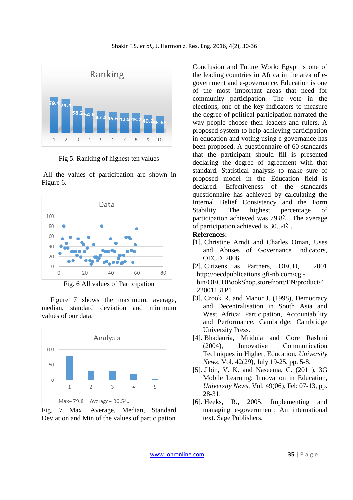

Fig 5. Ranking of highest ten values

 All the values of participation are shown in Figure 6.



Fig. 6 All values of Participation

 Figure 7 shows the maximum, average, median, standard deviation and minimum values of our data.



Fig. 7 Max, Average, Median, Standard Deviation and Min of the values of participation

Conclusion and Future Work: Egypt is one of the leading countries in Africa in the area of egovernment and e-governance. Education is one of the most important areas that need for community participation. The vote in the elections, one of the key indicators to measure the degree of political participation narrated the way people choose their leaders and rulers. A proposed system to help achieving participation in education and voting using e-governance has been proposed. A questionnaire of 60 standards that the participant should fill is presented declaring the degree of agreement with that standard. Statistical analysis to make sure of proposed model in the Education field is declared. Effectiveness of the standards questionnaire has achieved by calculating the Internal Belief Consistency and the Form Stability. The highest percentage of participation achieved was  $79.8$ <sup> $\degree$ </sup>. The average of participation achieved is 30.54<sup> $\lambda$ </sup>.

## **References:**

- [1]. Christine Arndt and Charles Oman, Uses and Abuses of Governance Indicators, OECD, 2006
- [2]. Citizens as Partners, OECD, 2001 http://oecdpublications.gfi-nb.com/cgibin/OECDBookShop.storefront/EN/product/4 22001131P1
- [3]. Crook R. and Manor J. (1998), Democracy and Decentralisation in South Asia and West Africa: Participation, Accountability and Performance. Cambridge: Cambridge University Press.
- [4]. Bhadauria, Mridula and Gore Rashmi (2004), Innovative Communication Techniques in Higher, Education, *University News,* Vol. 42(29), July 19-25, pp. 5-8.
- [5]. Jibin, V. K. and Naseema, C. (2011), 3G Mobile Learning: Innovation in Education, *University News,* Vol. 49(06), Feb 07-13, pp. 28-31.
- [6]. Heeks, R., 2005. Implementing and managing e-government: An international text. Sage Publishers.